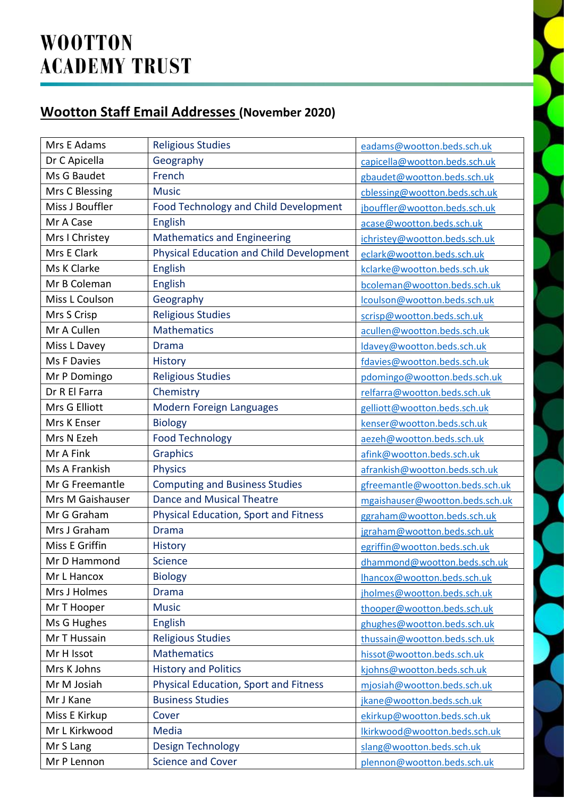## **Wootton Staff Email Addresses (November 2020)**

| Mrs E Adams      | <b>Religious Studies</b>                        | eadams@wootton.beds.sch.uk      |
|------------------|-------------------------------------------------|---------------------------------|
| Dr C Apicella    | Geography                                       | capicella@wootton.beds.sch.uk   |
| Ms G Baudet      | French                                          | gbaudet@wootton.beds.sch.uk     |
| Mrs C Blessing   | <b>Music</b>                                    | cblessing@wootton.beds.sch.uk   |
| Miss J Bouffler  | Food Technology and Child Development           | jbouffler@wootton.beds.sch.uk   |
| Mr A Case        | English                                         | acase@wootton.beds.sch.uk       |
| Mrs I Christey   | <b>Mathematics and Engineering</b>              | ichristey@wootton.beds.sch.uk   |
| Mrs E Clark      | <b>Physical Education and Child Development</b> | eclark@wootton.beds.sch.uk      |
| Ms K Clarke      | English                                         | kclarke@wootton.beds.sch.uk     |
| Mr B Coleman     | English                                         | bcoleman@wootton.beds.sch.uk    |
| Miss L Coulson   | Geography                                       | lcoulson@wootton.beds.sch.uk    |
| Mrs S Crisp      | <b>Religious Studies</b>                        | scrisp@wootton.beds.sch.uk      |
| Mr A Cullen      | <b>Mathematics</b>                              | acullen@wootton.beds.sch.uk     |
| Miss L Davey     | <b>Drama</b>                                    | Idavey@wootton.beds.sch.uk      |
| Ms F Davies      | <b>History</b>                                  | fdavies@wootton.beds.sch.uk     |
| Mr P Domingo     | <b>Religious Studies</b>                        | pdomingo@wootton.beds.sch.uk    |
| Dr R El Farra    | Chemistry                                       | relfarra@wootton.beds.sch.uk    |
| Mrs G Elliott    | Modern Foreign Languages                        | gelliott@wootton.beds.sch.uk    |
| Mrs K Enser      | <b>Biology</b>                                  | kenser@wootton.beds.sch.uk      |
| Mrs N Ezeh       | <b>Food Technology</b>                          | aezeh@wootton.beds.sch.uk       |
| Mr A Fink        | <b>Graphics</b>                                 | afink@wootton.beds.sch.uk       |
| Ms A Frankish    | <b>Physics</b>                                  | afrankish@wootton.beds.sch.uk   |
| Mr G Freemantle  | <b>Computing and Business Studies</b>           | gfreemantle@wootton.beds.sch.uk |
| Mrs M Gaishauser | <b>Dance and Musical Theatre</b>                | mgaishauser@wootton.beds.sch.uk |
| Mr G Graham      | Physical Education, Sport and Fitness           | ggraham@wootton.beds.sch.uk     |
| Mrs J Graham     | <b>Drama</b>                                    | jgraham@wootton.beds.sch.uk     |
| Miss E Griffin   | <b>History</b>                                  | egriffin@wootton.beds.sch.uk    |
| Mr D Hammond     | Science                                         | dhammond@wootton.beds.sch.uk    |
| Mr L Hancox      | <b>Biology</b>                                  | lhancox@wootton.beds.sch.uk     |
| Mrs J Holmes     | <b>Drama</b>                                    | jholmes@wootton.beds.sch.uk     |
| Mr T Hooper      | <b>Music</b>                                    | thooper@wootton.beds.sch.uk     |
| Ms G Hughes      | <b>English</b>                                  | ghughes@wootton.beds.sch.uk     |
| Mr T Hussain     | <b>Religious Studies</b>                        | thussain@wootton.beds.sch.uk    |
| Mr H Issot       | <b>Mathematics</b>                              | hissot@wootton.beds.sch.uk      |
| Mrs K Johns      | <b>History and Politics</b>                     | kjohns@wootton.beds.sch.uk      |
| Mr M Josiah      | <b>Physical Education, Sport and Fitness</b>    | mjosiah@wootton.beds.sch.uk     |
| Mr J Kane        | <b>Business Studies</b>                         | jkane@wootton.beds.sch.uk       |
| Miss E Kirkup    | Cover                                           | ekirkup@wootton.beds.sch.uk     |
| Mr L Kirkwood    | <b>Media</b>                                    | lkirkwood@wootton.beds.sch.uk   |
| Mr S Lang        | <b>Design Technology</b>                        | slang@wootton.beds.sch.uk       |
| Mr P Lennon      | <b>Science and Cover</b>                        | plennon@wootton.beds.sch.uk     |